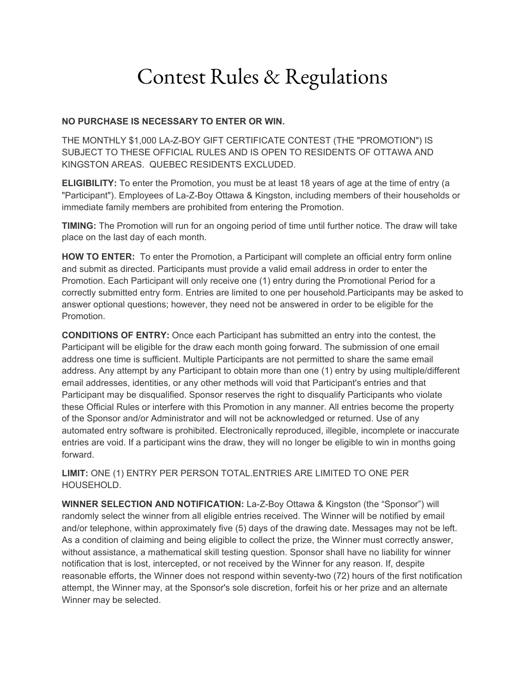## Contest Rules & Regulations

## **NO PURCHASE IS NECESSARY TO ENTER OR WIN.**

THE MONTHLY \$1,000 LA-Z-BOY GIFT CERTIFICATE CONTEST (THE "PROMOTION") IS SUBJECT TO THESE OFFICIAL RULES AND IS OPEN TO RESIDENTS OF OTTAWA AND KINGSTON AREAS. QUEBEC RESIDENTS EXCLUDED.

**ELIGIBILITY:** To enter the Promotion, you must be at least 18 years of age at the time of entry (a "Participant"). Employees of La-Z-Boy Ottawa & Kingston, including members of their households or immediate family members are prohibited from entering the Promotion.

**TIMING:** The Promotion will run for an ongoing period of time until further notice. The draw will take place on the last day of each month.

**HOW TO ENTER:** To enter the Promotion, a Participant will complete an official entry form online and submit as directed. Participants must provide a valid email address in order to enter the Promotion. Each Participant will only receive one (1) entry during the Promotional Period for a correctly submitted entry form. Entries are limited to one per household.Participants may be asked to answer optional questions; however, they need not be answered in order to be eligible for the Promotion.

**CONDITIONS OF ENTRY:** Once each Participant has submitted an entry into the contest, the Participant will be eligible for the draw each month going forward. The submission of one email address one time is sufficient. Multiple Participants are not permitted to share the same email address. Any attempt by any Participant to obtain more than one (1) entry by using multiple/different email addresses, identities, or any other methods will void that Participant's entries and that Participant may be disqualified. Sponsor reserves the right to disqualify Participants who violate these Official Rules or interfere with this Promotion in any manner. All entries become the property of the Sponsor and/or Administrator and will not be acknowledged or returned. Use of any automated entry software is prohibited. Electronically reproduced, illegible, incomplete or inaccurate entries are void. If a participant wins the draw, they will no longer be eligible to win in months going forward.

**LIMIT:** ONE (1) ENTRY PER PERSON TOTAL.ENTRIES ARE LIMITED TO ONE PER HOUSEHOLD.

**WINNER SELECTION AND NOTIFICATION:** La-Z-Boy Ottawa & Kingston (the "Sponsor") will randomly select the winner from all eligible entries received. The Winner will be notified by email and/or telephone, within approximately five (5) days of the drawing date. Messages may not be left. As a condition of claiming and being eligible to collect the prize, the Winner must correctly answer, without assistance, a mathematical skill testing question. Sponsor shall have no liability for winner notification that is lost, intercepted, or not received by the Winner for any reason. If, despite reasonable efforts, the Winner does not respond within seventy-two (72) hours of the first notification attempt, the Winner may, at the Sponsor's sole discretion, forfeit his or her prize and an alternate Winner may be selected.